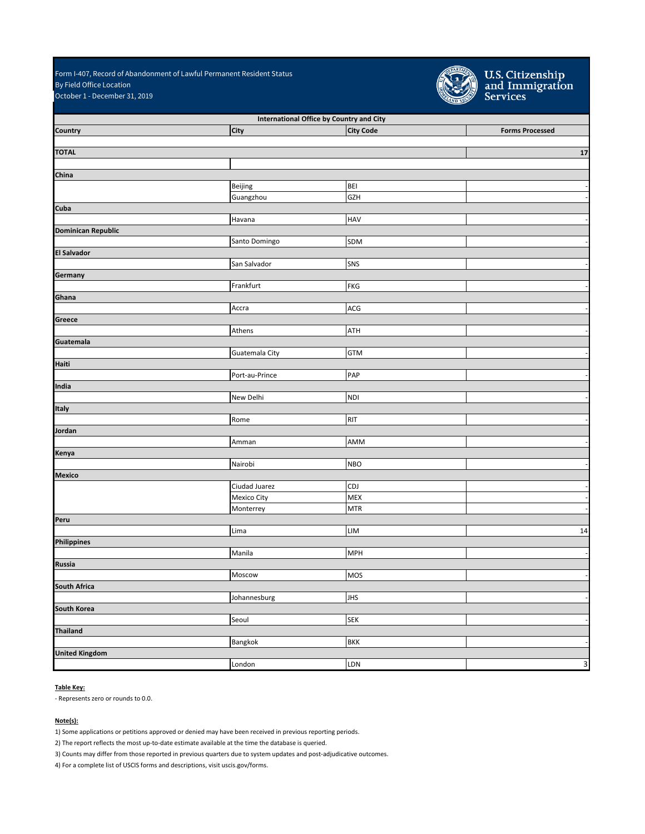October 1 - December 31, 2019 Form I-407, Record of Abandonment of Lawful Permanent Resident Status By Field Office Location



U.S. Citizenship<br>and Immigration<br>Services

| International Office by Country and City |                |                             |                        |
|------------------------------------------|----------------|-----------------------------|------------------------|
| Country                                  | <b>City</b>    | <b>City Code</b>            | <b>Forms Processed</b> |
|                                          |                |                             |                        |
| <b>TOTAL</b>                             |                |                             | 17                     |
|                                          |                |                             |                        |
| China                                    |                |                             |                        |
|                                          | Beijing        | <b>BEI</b><br><b>GZH</b>    |                        |
| Cuba                                     | Guangzhou      |                             |                        |
|                                          |                | <b>HAV</b>                  |                        |
| <b>Dominican Republic</b>                | Havana         |                             |                        |
|                                          | Santo Domingo  | SDM                         |                        |
| <b>El Salvador</b>                       |                |                             |                        |
|                                          | San Salvador   | SNS                         |                        |
| Germany                                  |                |                             |                        |
|                                          | Frankfurt      | <b>FKG</b>                  |                        |
| Ghana                                    |                |                             |                        |
|                                          | Accra          | ACG                         |                        |
| Greece                                   |                |                             |                        |
|                                          | Athens         | ATH                         |                        |
| Guatemala                                |                |                             |                        |
|                                          | Guatemala City | <b>GTM</b>                  |                        |
| Haiti                                    |                |                             |                        |
|                                          | Port-au-Prince | PAP                         |                        |
| India                                    |                |                             |                        |
|                                          | New Delhi      | <b>NDI</b>                  |                        |
| Italy                                    |                |                             |                        |
|                                          | Rome           | <b>RIT</b>                  |                        |
| Jordan                                   |                |                             |                        |
|                                          | Amman          | AMM                         |                        |
| Kenya                                    |                |                             |                        |
|                                          | Nairobi        | <b>NBO</b>                  |                        |
| <b>Mexico</b>                            |                |                             |                        |
|                                          | Ciudad Juarez  | <b>CDJ</b>                  |                        |
|                                          | Mexico City    | <b>MEX</b>                  |                        |
|                                          | Monterrey      | $\ensuremath{\mathsf{MTR}}$ |                        |
| Peru                                     |                |                             |                        |
|                                          | Lima           | LIM                         | 14                     |
| Philippines                              |                |                             |                        |
|                                          | Manila         | <b>MPH</b>                  |                        |
| <b>Russia</b>                            |                |                             |                        |
|                                          | Moscow         | MOS                         |                        |
| South Africa                             |                |                             |                        |
|                                          | Johannesburg   | <b>JHS</b>                  |                        |
| <b>South Korea</b>                       |                |                             |                        |
|                                          | Seoul          | <b>SEK</b>                  |                        |
| <b>Thailand</b>                          |                |                             |                        |
|                                          | Bangkok        | <b>BKK</b>                  |                        |
| <b>United Kingdom</b>                    |                |                             |                        |
|                                          | London         | LDN                         | 3                      |

## **Table Key:**

- Represents zero or rounds to 0.0.

## **Note(s):**

1) Some applications or petitions approved or denied may have been received in previous reporting periods.

2) The report reflects the most up-to-date estimate available at the time the database is queried.

3) Counts may differ from those reported in previous quarters due to system updates and post-adjudicative outcomes.

4) For a complete list of USCIS forms and descriptions, visit uscis.gov/forms.